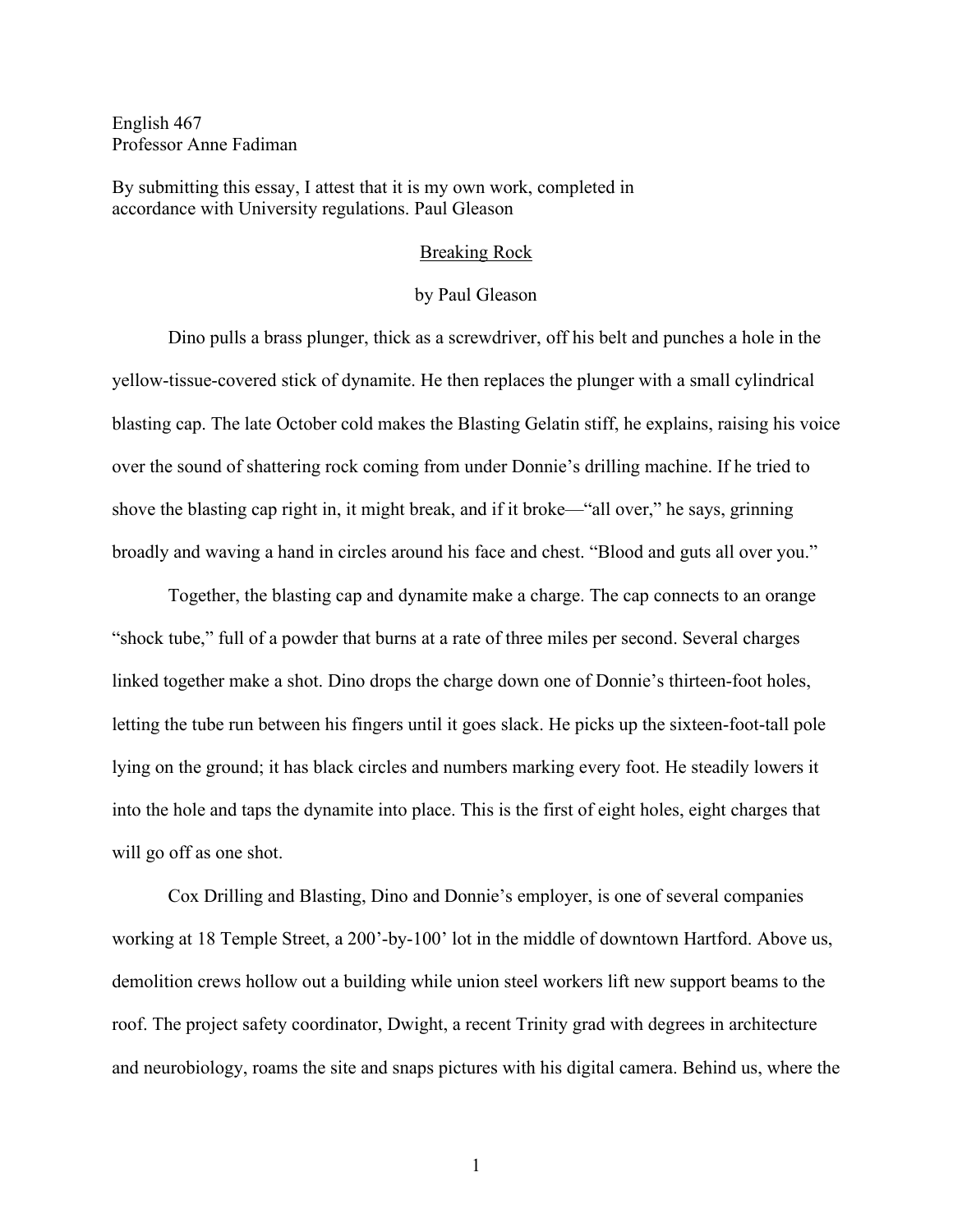English 467 Professor Anne Fadiman

By submitting this essay, I attest that it is my own work, completed in accordance with University regulations. Paul Gleason

## Breaking Rock

## by Paul Gleason

Dino pulls a brass plunger, thick as a screwdriver, off his belt and punches a hole in the yellow-tissue-covered stick of dynamite. He then replaces the plunger with a small cylindrical blasting cap. The late October cold makes the Blasting Gelatin stiff, he explains, raising his voice over the sound of shattering rock coming from under Donnie's drilling machine. If he tried to shove the blasting cap right in, it might break, and if it broke—"all over," he says, grinning broadly and waving a hand in circles around his face and chest. "Blood and guts all over you."

Together, the blasting cap and dynamite make a charge. The cap connects to an orange "shock tube," full of a powder that burns at a rate of three miles per second. Several charges linked together make a shot. Dino drops the charge down one of Donnie's thirteen-foot holes, letting the tube run between his fingers until it goes slack. He picks up the sixteen-foot-tall pole lying on the ground; it has black circles and numbers marking every foot. He steadily lowers it into the hole and taps the dynamite into place. This is the first of eight holes, eight charges that will go off as one shot.

Cox Drilling and Blasting, Dino and Donnie's employer, is one of several companies working at 18 Temple Street, a 200'-by-100' lot in the middle of downtown Hartford. Above us, demolition crews hollow out a building while union steel workers lift new support beams to the roof. The project safety coordinator, Dwight, a recent Trinity grad with degrees in architecture and neurobiology, roams the site and snaps pictures with his digital camera. Behind us, where the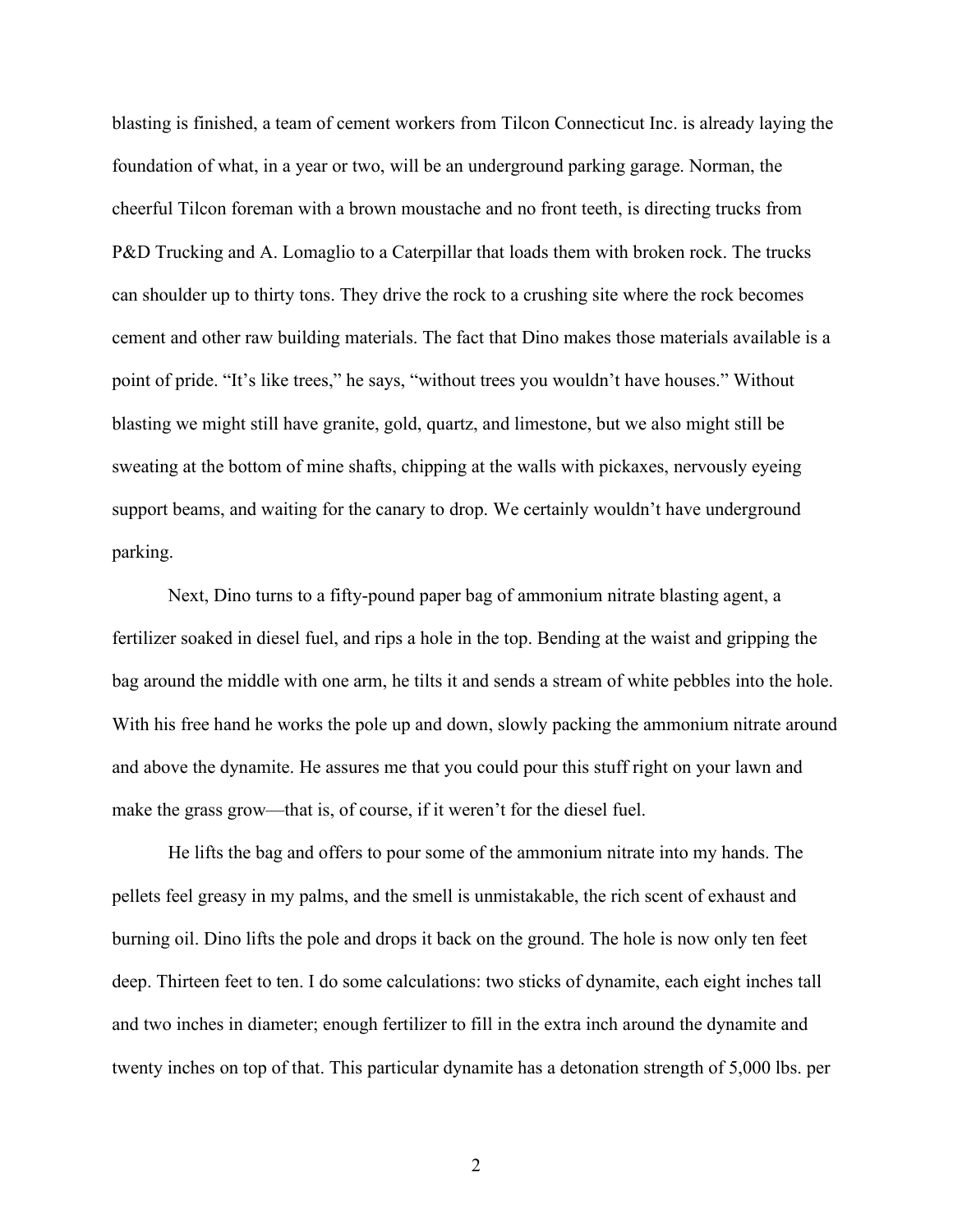blasting is finished, a team of cement workers from Tilcon Connecticut Inc. is already laying the foundation of what, in a year or two, will be an underground parking garage. Norman, the cheerful Tilcon foreman with a brown moustache and no front teeth, is directing trucks from P&D Trucking and A. Lomaglio to a Caterpillar that loads them with broken rock. The trucks can shoulder up to thirty tons. They drive the rock to a crushing site where the rock becomes cement and other raw building materials. The fact that Dino makes those materials available is a point of pride. "It's like trees," he says, "without trees you wouldn't have houses." Without blasting we might still have granite, gold, quartz, and limestone, but we also might still be sweating at the bottom of mine shafts, chipping at the walls with pickaxes, nervously eyeing support beams, and waiting for the canary to drop. We certainly wouldn't have underground parking.

Next, Dino turns to a fifty-pound paper bag of ammonium nitrate blasting agent, a fertilizer soaked in diesel fuel, and rips a hole in the top. Bending at the waist and gripping the bag around the middle with one arm, he tilts it and sends a stream of white pebbles into the hole. With his free hand he works the pole up and down, slowly packing the ammonium nitrate around and above the dynamite. He assures me that you could pour this stuff right on your lawn and make the grass grow—that is, of course, if it weren't for the diesel fuel.

He lifts the bag and offers to pour some of the ammonium nitrate into my hands. The pellets feel greasy in my palms, and the smell is unmistakable, the rich scent of exhaust and burning oil. Dino lifts the pole and drops it back on the ground. The hole is now only ten feet deep. Thirteen feet to ten. I do some calculations: two sticks of dynamite, each eight inches tall and two inches in diameter; enough fertilizer to fill in the extra inch around the dynamite and twenty inches on top of that. This particular dynamite has a detonation strength of 5,000 lbs. per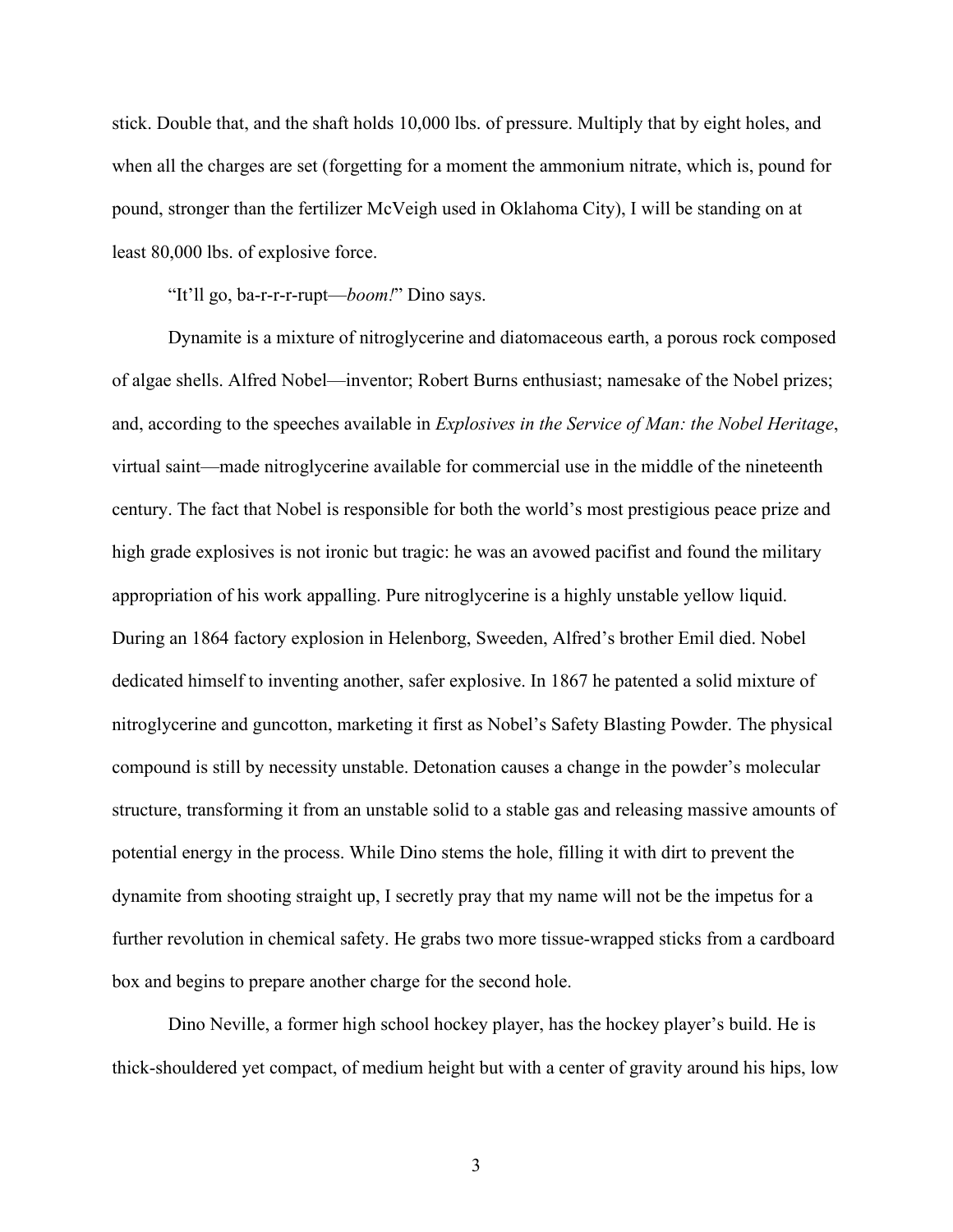stick. Double that, and the shaft holds 10,000 lbs. of pressure. Multiply that by eight holes, and when all the charges are set (forgetting for a moment the ammonium nitrate, which is, pound for pound, stronger than the fertilizer McVeigh used in Oklahoma City), I will be standing on at least 80,000 lbs. of explosive force.

"It'll go, ba-r-r-r-rupt—*boom!*" Dino says.

Dynamite is a mixture of nitroglycerine and diatomaceous earth, a porous rock composed of algae shells. Alfred Nobel—inventor; Robert Burns enthusiast; namesake of the Nobel prizes; and, according to the speeches available in *Explosives in the Service of Man: the Nobel Heritage*, virtual saint—made nitroglycerine available for commercial use in the middle of the nineteenth century. The fact that Nobel is responsible for both the world's most prestigious peace prize and high grade explosives is not ironic but tragic: he was an avowed pacifist and found the military appropriation of his work appalling. Pure nitroglycerine is a highly unstable yellow liquid. During an 1864 factory explosion in Helenborg, Sweeden, Alfred's brother Emil died. Nobel dedicated himself to inventing another, safer explosive. In 1867 he patented a solid mixture of nitroglycerine and guncotton, marketing it first as Nobel's Safety Blasting Powder. The physical compound is still by necessity unstable. Detonation causes a change in the powder's molecular structure, transforming it from an unstable solid to a stable gas and releasing massive amounts of potential energy in the process. While Dino stems the hole, filling it with dirt to prevent the dynamite from shooting straight up, I secretly pray that my name will not be the impetus for a further revolution in chemical safety. He grabs two more tissue-wrapped sticks from a cardboard box and begins to prepare another charge for the second hole.

Dino Neville, a former high school hockey player, has the hockey player's build. He is thick-shouldered yet compact, of medium height but with a center of gravity around his hips, low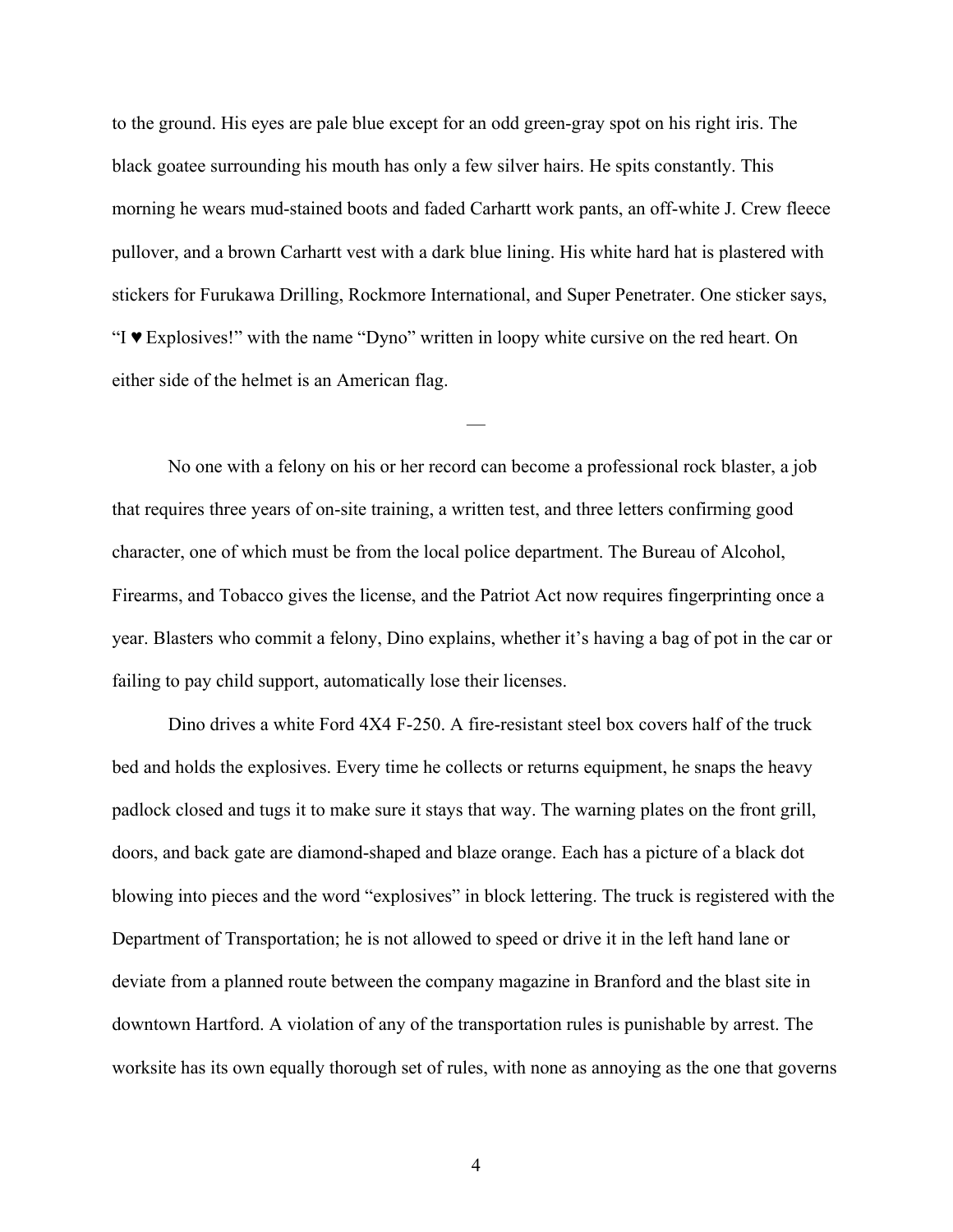to the ground. His eyes are pale blue except for an odd green-gray spot on his right iris. The black goatee surrounding his mouth has only a few silver hairs. He spits constantly. This morning he wears mud-stained boots and faded Carhartt work pants, an off-white J. Crew fleece pullover, and a brown Carhartt vest with a dark blue lining. His white hard hat is plastered with stickers for Furukawa Drilling, Rockmore International, and Super Penetrater. One sticker says, "I ♥ Explosives!" with the name "Dyno" written in loopy white cursive on the red heart. On either side of the helmet is an American flag.

No one with a felony on his or her record can become a professional rock blaster, a job that requires three years of on-site training, a written test, and three letters confirming good character, one of which must be from the local police department. The Bureau of Alcohol, Firearms, and Tobacco gives the license, and the Patriot Act now requires fingerprinting once a year. Blasters who commit a felony, Dino explains, whether it's having a bag of pot in the car or failing to pay child support, automatically lose their licenses.

—

Dino drives a white Ford 4X4 F-250. A fire-resistant steel box covers half of the truck bed and holds the explosives. Every time he collects or returns equipment, he snaps the heavy padlock closed and tugs it to make sure it stays that way. The warning plates on the front grill, doors, and back gate are diamond-shaped and blaze orange. Each has a picture of a black dot blowing into pieces and the word "explosives" in block lettering. The truck is registered with the Department of Transportation; he is not allowed to speed or drive it in the left hand lane or deviate from a planned route between the company magazine in Branford and the blast site in downtown Hartford. A violation of any of the transportation rules is punishable by arrest. The worksite has its own equally thorough set of rules, with none as annoying as the one that governs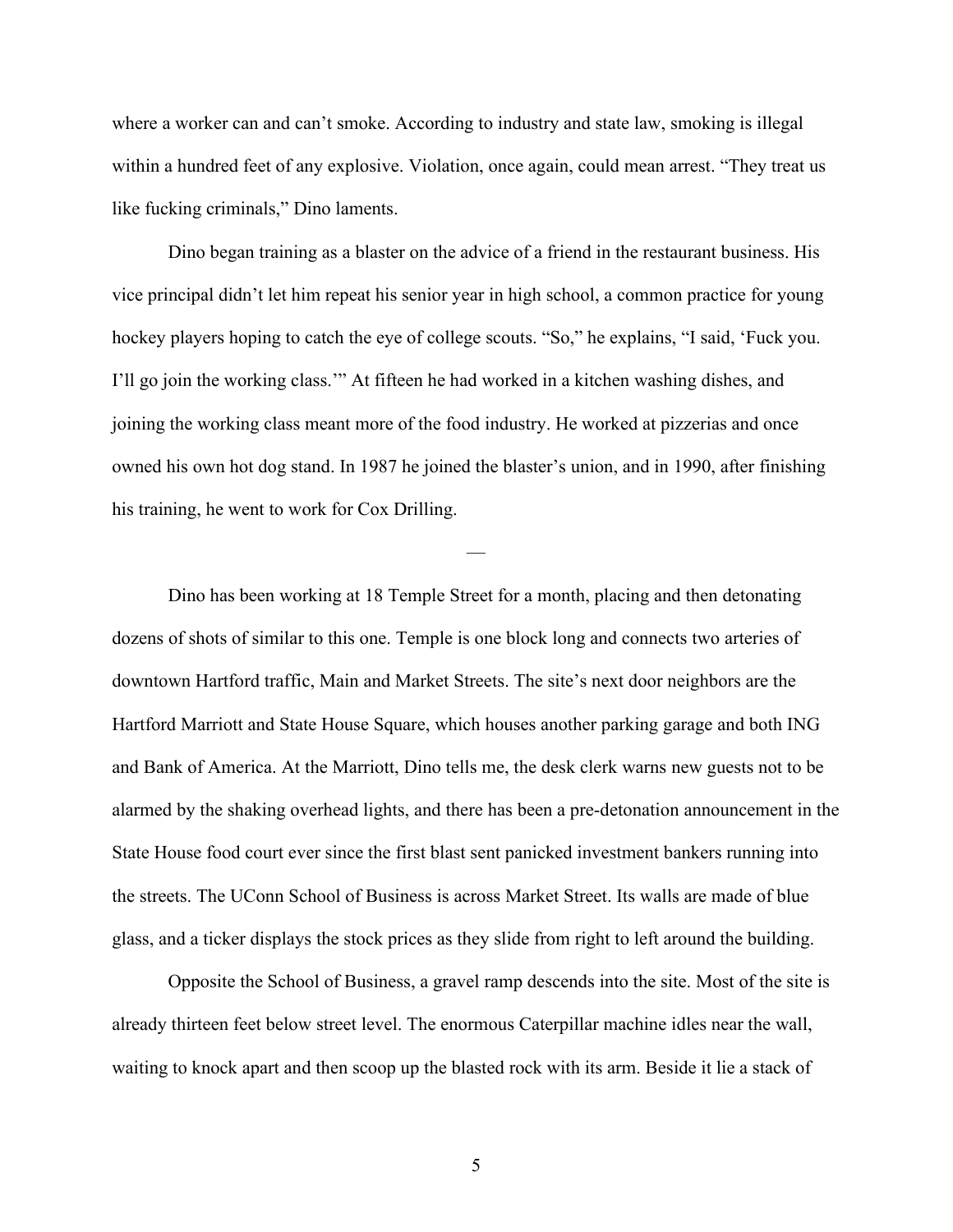where a worker can and can't smoke. According to industry and state law, smoking is illegal within a hundred feet of any explosive. Violation, once again, could mean arrest. "They treat us like fucking criminals," Dino laments.

Dino began training as a blaster on the advice of a friend in the restaurant business. His vice principal didn't let him repeat his senior year in high school, a common practice for young hockey players hoping to catch the eye of college scouts. "So," he explains, "I said, 'Fuck you. I'll go join the working class.'" At fifteen he had worked in a kitchen washing dishes, and joining the working class meant more of the food industry. He worked at pizzerias and once owned his own hot dog stand. In 1987 he joined the blaster's union, and in 1990, after finishing his training, he went to work for Cox Drilling.

—

Dino has been working at 18 Temple Street for a month, placing and then detonating dozens of shots of similar to this one. Temple is one block long and connects two arteries of downtown Hartford traffic, Main and Market Streets. The site's next door neighbors are the Hartford Marriott and State House Square, which houses another parking garage and both ING and Bank of America. At the Marriott, Dino tells me, the desk clerk warns new guests not to be alarmed by the shaking overhead lights, and there has been a pre-detonation announcement in the State House food court ever since the first blast sent panicked investment bankers running into the streets. The UConn School of Business is across Market Street. Its walls are made of blue glass, and a ticker displays the stock prices as they slide from right to left around the building.

Opposite the School of Business, a gravel ramp descends into the site. Most of the site is already thirteen feet below street level. The enormous Caterpillar machine idles near the wall, waiting to knock apart and then scoop up the blasted rock with its arm. Beside it lie a stack of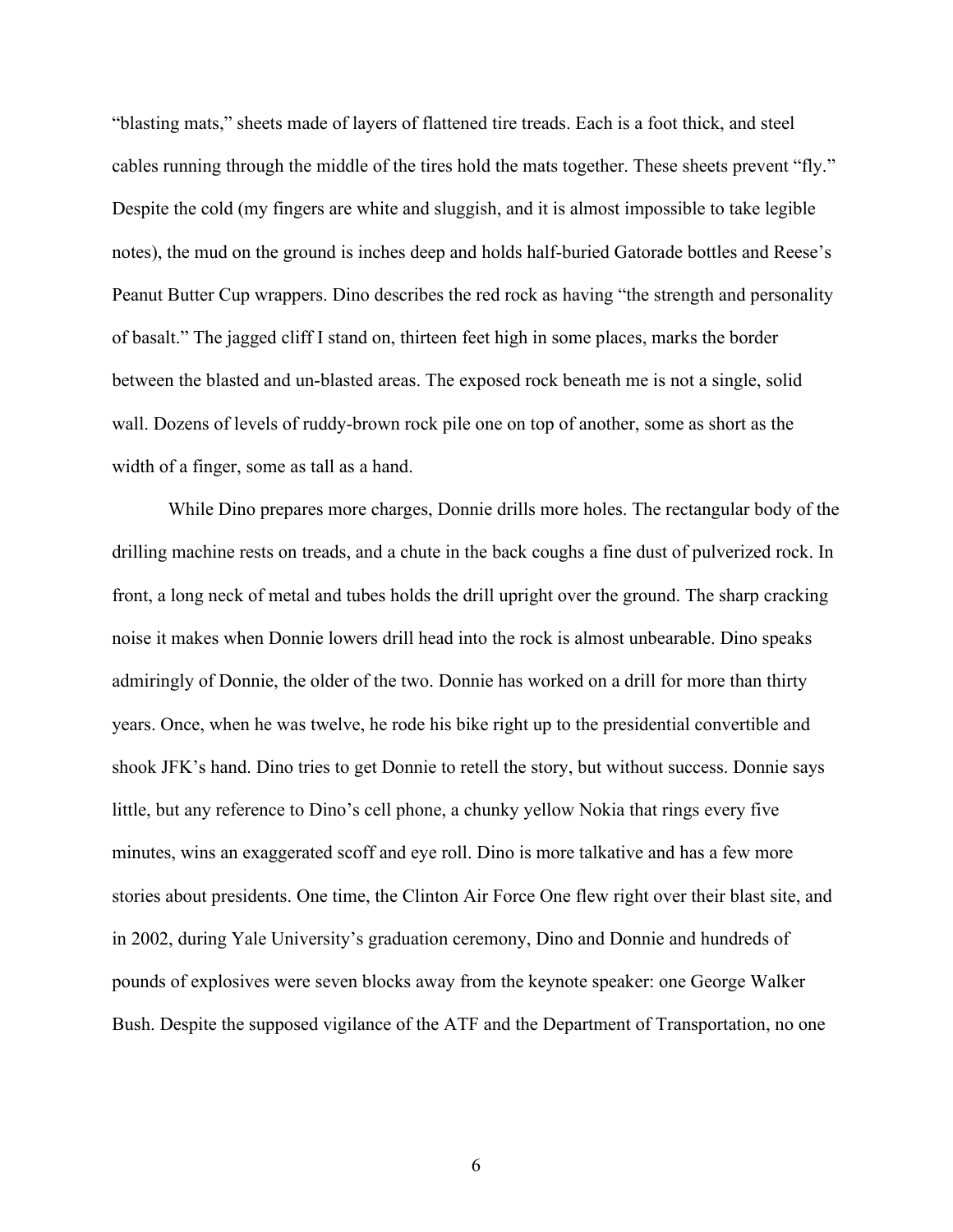"blasting mats," sheets made of layers of flattened tire treads. Each is a foot thick, and steel cables running through the middle of the tires hold the mats together. These sheets prevent "fly." Despite the cold (my fingers are white and sluggish, and it is almost impossible to take legible notes), the mud on the ground is inches deep and holds half-buried Gatorade bottles and Reese's Peanut Butter Cup wrappers. Dino describes the red rock as having "the strength and personality of basalt." The jagged cliff I stand on, thirteen feet high in some places, marks the border between the blasted and un-blasted areas. The exposed rock beneath me is not a single, solid wall. Dozens of levels of ruddy-brown rock pile one on top of another, some as short as the width of a finger, some as tall as a hand.

While Dino prepares more charges, Donnie drills more holes. The rectangular body of the drilling machine rests on treads, and a chute in the back coughs a fine dust of pulverized rock. In front, a long neck of metal and tubes holds the drill upright over the ground. The sharp cracking noise it makes when Donnie lowers drill head into the rock is almost unbearable. Dino speaks admiringly of Donnie, the older of the two. Donnie has worked on a drill for more than thirty years. Once, when he was twelve, he rode his bike right up to the presidential convertible and shook JFK's hand. Dino tries to get Donnie to retell the story, but without success. Donnie says little, but any reference to Dino's cell phone, a chunky yellow Nokia that rings every five minutes, wins an exaggerated scoff and eye roll. Dino is more talkative and has a few more stories about presidents. One time, the Clinton Air Force One flew right over their blast site, and in 2002, during Yale University's graduation ceremony, Dino and Donnie and hundreds of pounds of explosives were seven blocks away from the keynote speaker: one George Walker Bush. Despite the supposed vigilance of the ATF and the Department of Transportation, no one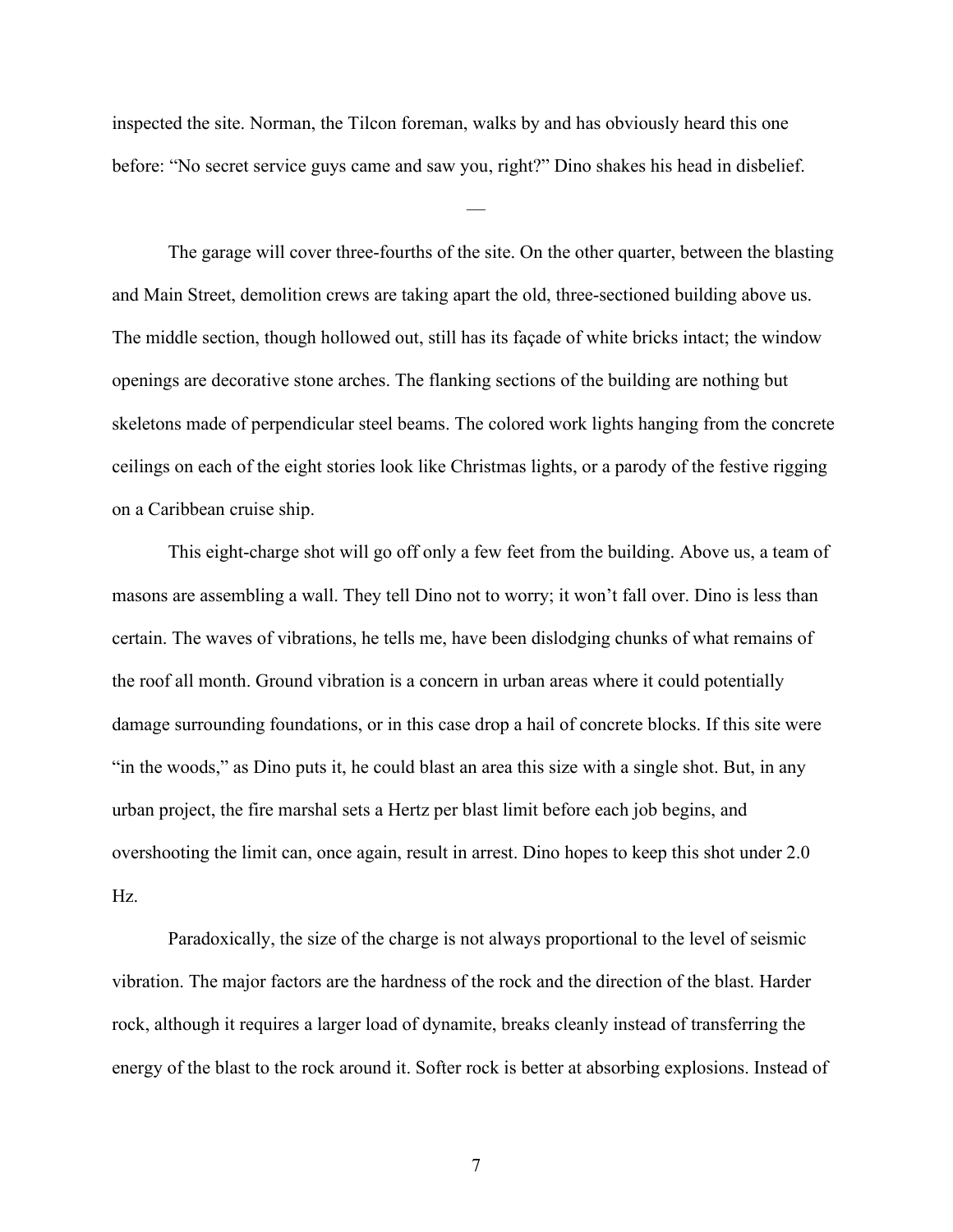inspected the site. Norman, the Tilcon foreman, walks by and has obviously heard this one before: "No secret service guys came and saw you, right?" Dino shakes his head in disbelief.

—

The garage will cover three-fourths of the site. On the other quarter, between the blasting and Main Street, demolition crews are taking apart the old, three-sectioned building above us. The middle section, though hollowed out, still has its façade of white bricks intact; the window openings are decorative stone arches. The flanking sections of the building are nothing but skeletons made of perpendicular steel beams. The colored work lights hanging from the concrete ceilings on each of the eight stories look like Christmas lights, or a parody of the festive rigging on a Caribbean cruise ship.

This eight-charge shot will go off only a few feet from the building. Above us, a team of masons are assembling a wall. They tell Dino not to worry; it won't fall over. Dino is less than certain. The waves of vibrations, he tells me, have been dislodging chunks of what remains of the roof all month. Ground vibration is a concern in urban areas where it could potentially damage surrounding foundations, or in this case drop a hail of concrete blocks. If this site were "in the woods," as Dino puts it, he could blast an area this size with a single shot. But, in any urban project, the fire marshal sets a Hertz per blast limit before each job begins, and overshooting the limit can, once again, result in arrest. Dino hopes to keep this shot under 2.0 Hz.

Paradoxically, the size of the charge is not always proportional to the level of seismic vibration. The major factors are the hardness of the rock and the direction of the blast. Harder rock, although it requires a larger load of dynamite, breaks cleanly instead of transferring the energy of the blast to the rock around it. Softer rock is better at absorbing explosions. Instead of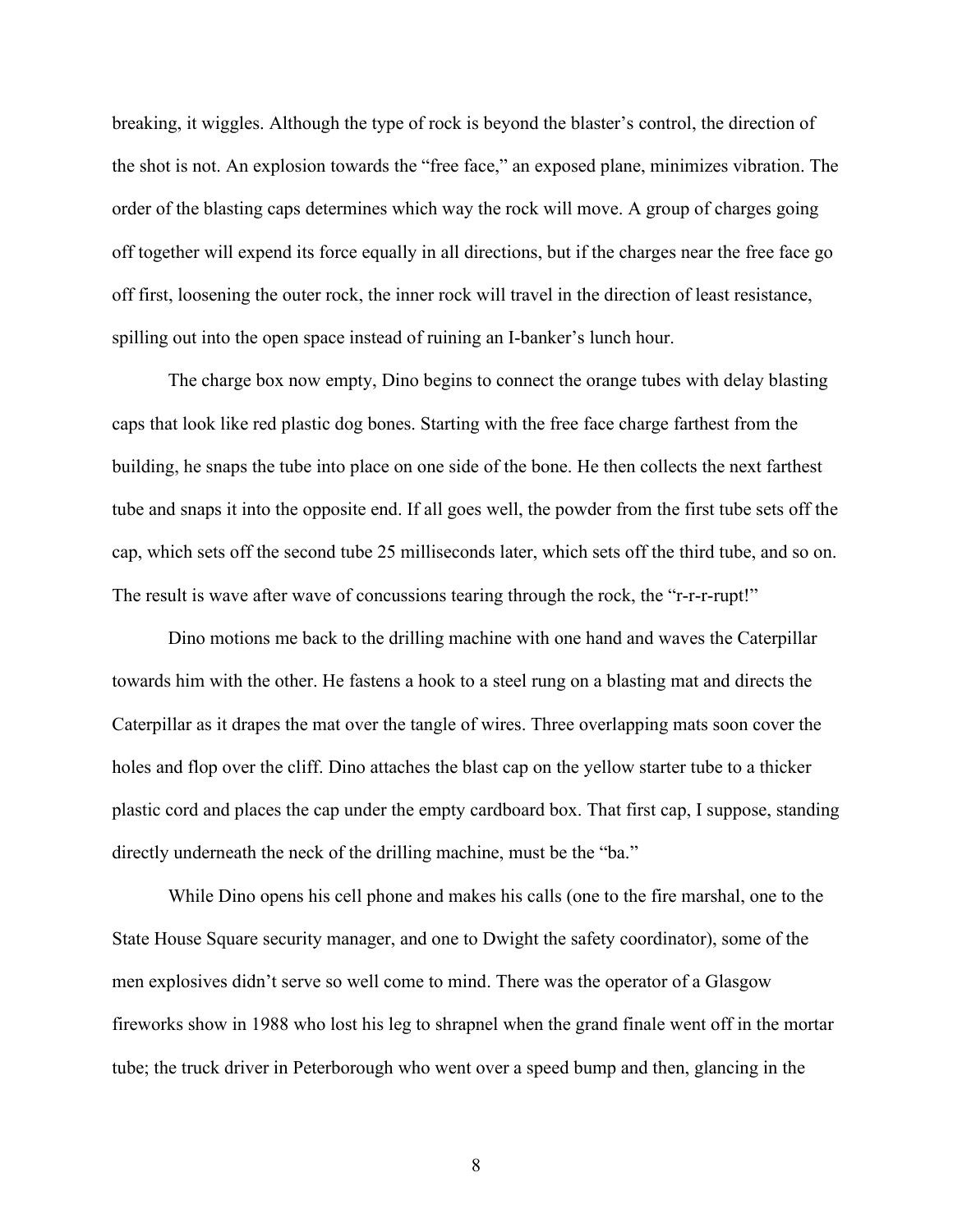breaking, it wiggles. Although the type of rock is beyond the blaster's control, the direction of the shot is not. An explosion towards the "free face," an exposed plane, minimizes vibration. The order of the blasting caps determines which way the rock will move. A group of charges going off together will expend its force equally in all directions, but if the charges near the free face go off first, loosening the outer rock, the inner rock will travel in the direction of least resistance, spilling out into the open space instead of ruining an I-banker's lunch hour.

The charge box now empty, Dino begins to connect the orange tubes with delay blasting caps that look like red plastic dog bones. Starting with the free face charge farthest from the building, he snaps the tube into place on one side of the bone. He then collects the next farthest tube and snaps it into the opposite end. If all goes well, the powder from the first tube sets off the cap, which sets off the second tube 25 milliseconds later, which sets off the third tube, and so on. The result is wave after wave of concussions tearing through the rock, the "r-r-r-rupt!"

Dino motions me back to the drilling machine with one hand and waves the Caterpillar towards him with the other. He fastens a hook to a steel rung on a blasting mat and directs the Caterpillar as it drapes the mat over the tangle of wires. Three overlapping mats soon cover the holes and flop over the cliff. Dino attaches the blast cap on the yellow starter tube to a thicker plastic cord and places the cap under the empty cardboard box. That first cap, I suppose, standing directly underneath the neck of the drilling machine, must be the "ba."

While Dino opens his cell phone and makes his calls (one to the fire marshal, one to the State House Square security manager, and one to Dwight the safety coordinator), some of the men explosives didn't serve so well come to mind. There was the operator of a Glasgow fireworks show in 1988 who lost his leg to shrapnel when the grand finale went off in the mortar tube; the truck driver in Peterborough who went over a speed bump and then, glancing in the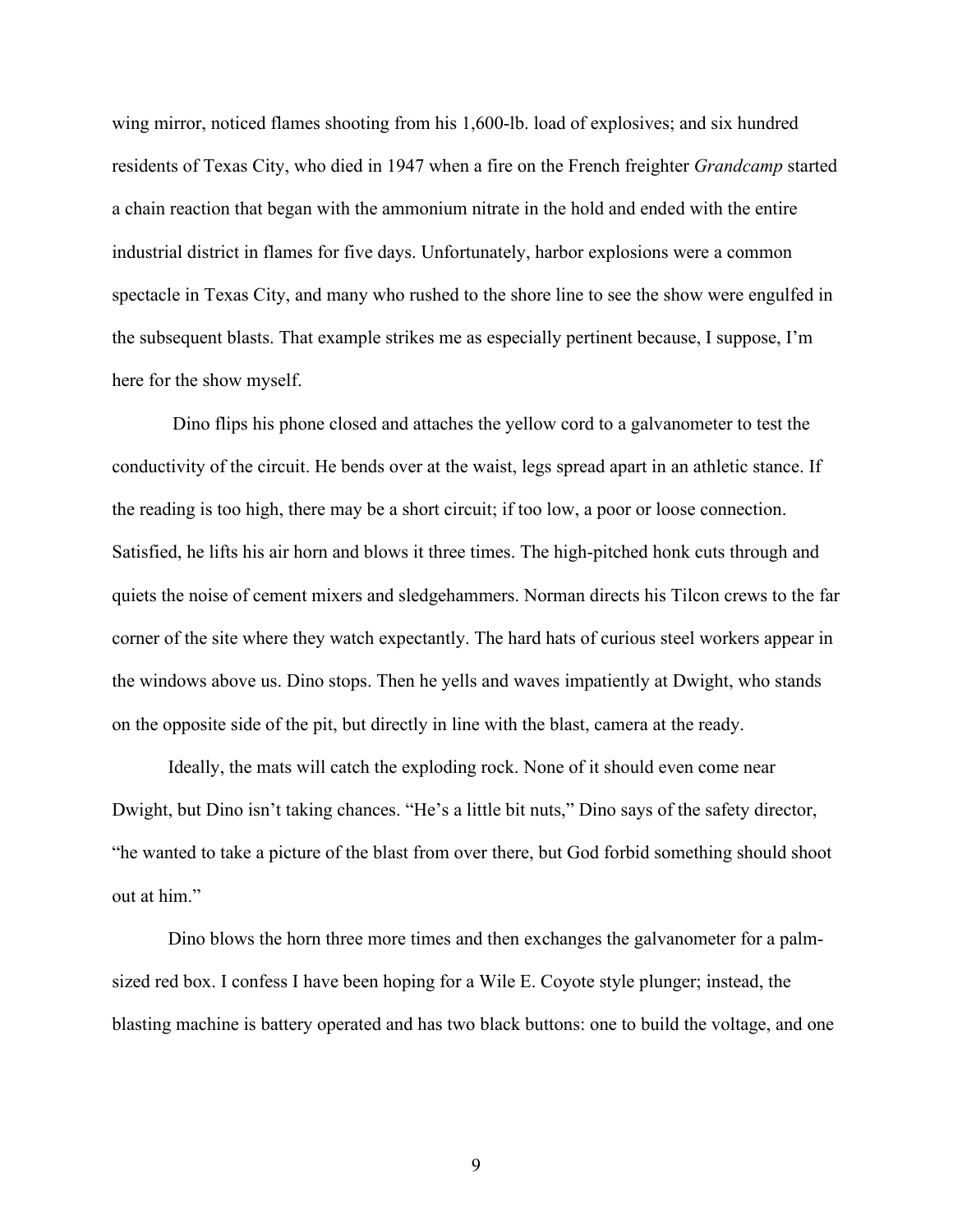wing mirror, noticed flames shooting from his 1,600-lb. load of explosives; and six hundred residents of Texas City, who died in 1947 when a fire on the French freighter *Grandcamp* started a chain reaction that began with the ammonium nitrate in the hold and ended with the entire industrial district in flames for five days. Unfortunately, harbor explosions were a common spectacle in Texas City, and many who rushed to the shore line to see the show were engulfed in the subsequent blasts. That example strikes me as especially pertinent because, I suppose, I'm here for the show myself.

Dino flips his phone closed and attaches the yellow cord to a galvanometer to test the conductivity of the circuit. He bends over at the waist, legs spread apart in an athletic stance. If the reading is too high, there may be a short circuit; if too low, a poor or loose connection. Satisfied, he lifts his air horn and blows it three times. The high-pitched honk cuts through and quiets the noise of cement mixers and sledgehammers. Norman directs his Tilcon crews to the far corner of the site where they watch expectantly. The hard hats of curious steel workers appear in the windows above us. Dino stops. Then he yells and waves impatiently at Dwight, who stands on the opposite side of the pit, but directly in line with the blast, camera at the ready.

Ideally, the mats will catch the exploding rock. None of it should even come near Dwight, but Dino isn't taking chances. "He's a little bit nuts," Dino says of the safety director, "he wanted to take a picture of the blast from over there, but God forbid something should shoot out at him."

Dino blows the horn three more times and then exchanges the galvanometer for a palmsized red box. I confess I have been hoping for a Wile E. Coyote style plunger; instead, the blasting machine is battery operated and has two black buttons: one to build the voltage, and one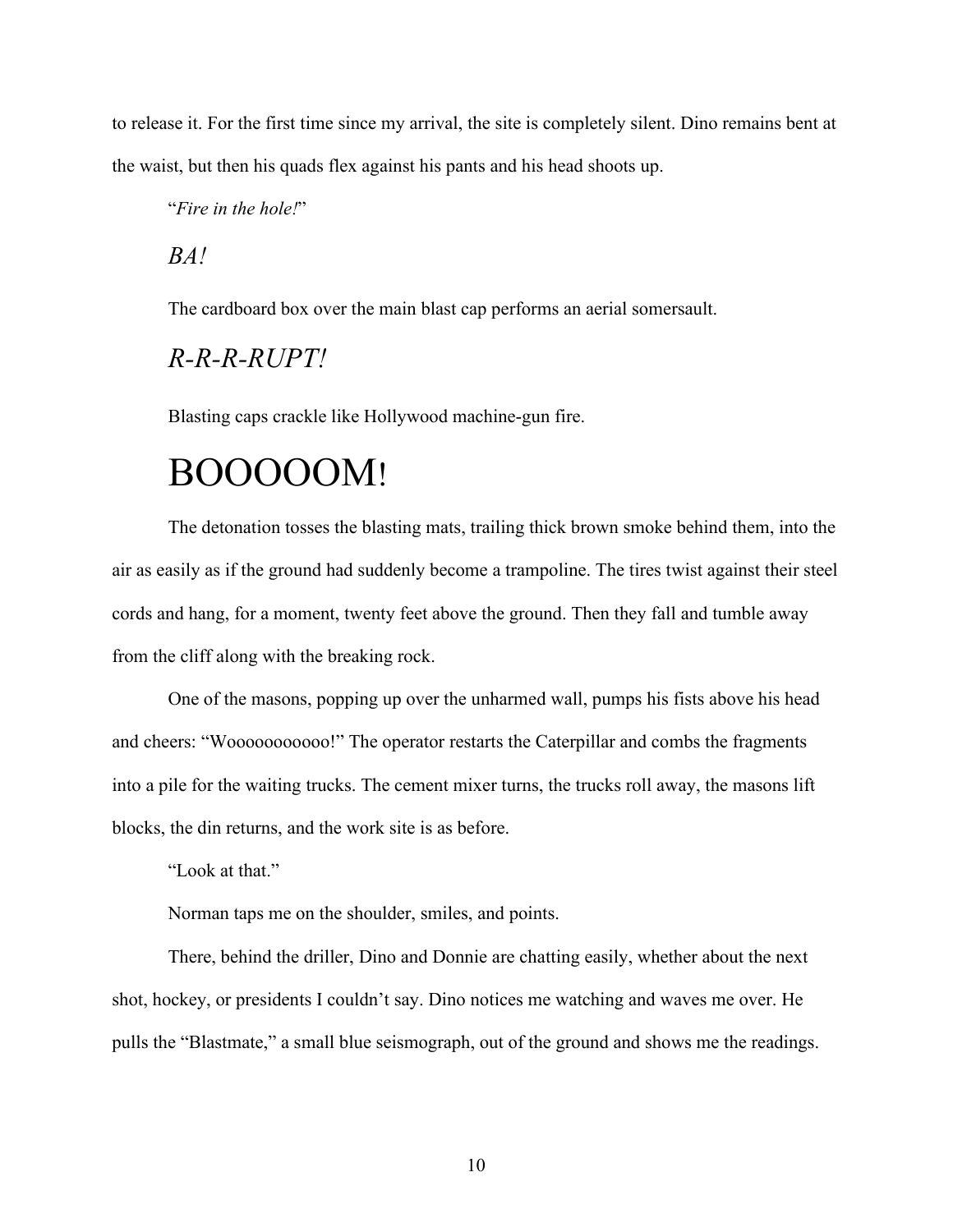to release it. For the first time since my arrival, the site is completely silent. Dino remains bent at the waist, but then his quads flex against his pants and his head shoots up.

"*Fire in the hole!*"

*BA!*

The cardboard box over the main blast cap performs an aerial somersault.

## *R-R-R-RUPT!*

Blasting caps crackle like Hollywood machine-gun fire.

## BOOOOOM!

The detonation tosses the blasting mats, trailing thick brown smoke behind them, into the air as easily as if the ground had suddenly become a trampoline. The tires twist against their steel cords and hang, for a moment, twenty feet above the ground. Then they fall and tumble away from the cliff along with the breaking rock.

One of the masons, popping up over the unharmed wall, pumps his fists above his head and cheers: "Wooooooooooo!" The operator restarts the Caterpillar and combs the fragments into a pile for the waiting trucks. The cement mixer turns, the trucks roll away, the masons lift blocks, the din returns, and the work site is as before.

"Look at that."

Norman taps me on the shoulder, smiles, and points.

There, behind the driller, Dino and Donnie are chatting easily, whether about the next shot, hockey, or presidents I couldn't say. Dino notices me watching and waves me over. He pulls the "Blastmate," a small blue seismograph, out of the ground and shows me the readings.